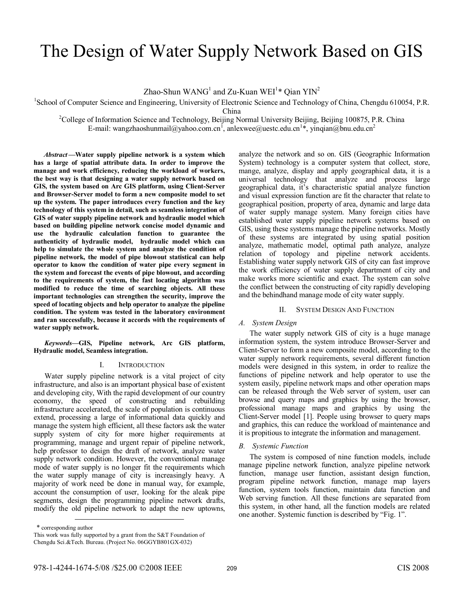# The Design of Water Supply Network Based on GIS

Zhao-Shun WANG<sup>1</sup> and Zu-Kuan WEI<sup>1</sup>\* Qian YIN<sup>2</sup>

<sup>1</sup>School of Computer Science and Engineering, University of Electronic Science and Technology of China, Chengdu 610054, P.R.

<sup>2</sup>College of Information Science and Technology, Beijing Normal University Beijing, Beijing 100875, P.R. China E-mail: wangzhaoshunmail@yahoo.com.cn<sup>1</sup>, anlexwee@uestc.edu.cn<sup>1</sup>\*, yinqian@bnu.edu.cn<sup>2</sup>

*Abstract* **—Water supply pipeline network is a system which has a large of spatial attribute data. In order to improve the manage and work efficiency, reducing the workload of workers, the best way is that designing a water supply network based on GIS, the system based on Arc GIS platform, using Client-Server and Browser-Server model to form a new composite model to set up the system. The paper introduces every function and the key technology of this system in detail, such as seamless integration of GIS of water supply pipeline network and hydraulic model which based on building pipeline network concise model dynamic and use the hydraulic calculation function to guarantee the authenticity of hydraulic model, hydraulic model which can help to simulate the whole system and analyze the condition of pipeline network, the model of pipe blowout statistical can help operator to know the condition of water pipe every segment in the system and forecast the events of pipe blowout, and according to the requirements of system, the fast locating algorithm was modified to reduce the time of searching objects. All these important technologies can strengthen the security, improve the speed of locating objects and help operator to analyze the pipeline condition. The system was tested in the laboratory environment and ran successfully, because it accords with the requirements of water supply network.** 

*Keywords—***GIS, Pipeline network, Arc GIS platform, Hydraulic model, Seamless integration.** 

## I. INTRODUCTION

Water supply pipeline network is a vital project of city infrastructure, and also is an important physical base of existent and developing city, With the rapid development of our country economy, the speed of constructing and rebuilding infrastructure accelerated, the scale of population is continuous extend, processing a large of informational data quickly and manage the system high efficient, all these factors ask the water supply system of city for more higher requirements at programming, manage and urgent repair of pipeline network, help professor to design the draft of network, analyze water supply network condition. However, the conventional manage mode of water supply is no longer fit the requirements which the water supply manage of city is increasingly heavy. A majority of work need be done in manual way, for example, account the consumption of user, looking for the aleak pipe segments, design the programming pipeline network drafts, modify the old pipeline network to adapt the new uptowns,

analyze the network and so on. GIS (Geographic Information System) technology is a computer system that collect, store, mange, analyze, display and apply geographical data, it is a universal technology that analyze and process large geographical data, it's characteristic spatial analyze function and visual expression function are fit the character that relate to geographical position, property of area, dynamic and large data of water supply manage system. Many foreign cities have established water supply pipeline network systems based on GIS, using these systems manage the pipeline networks. Mostly of these systems are integrated by using spatial position analyze, mathematic model, optimal path analyze, analyze relation of topology and pipeline network accidents. Establishing water supply network GIS of city can fast improve the work efficiency of water supply department of city and make works more scientific and exact. The system can solve the conflict between the constructing of city rapidly developing and the behindhand manage mode of city water supply.

#### II. SYSTEM DESIGN AND FUNCTION

#### *A. System Design*

The water supply network GIS of city is a huge manage information system, the system introduce Browser-Server and Client-Server to form a new composite model, according to the water supply network requirements, several different function models were designed in this system, in order to realize the functions of pipeline network and help operator to use the system easily, pipeline network maps and other operation maps can be released through the Web server of system, user can browse and query maps and graphics by using the browser, professional manage maps and graphics by using the Client-Server model [1]. People using browser to query maps and graphics, this can reduce the workload of maintenance and it is propitious to integrate the information and management.

## *B. Systemic Function*

The system is composed of nine function models, include manage pipeline network function, analyze pipeline network function, manage user function, assistant design function, program pipeline network function, manage map layers function, system tools function, maintain data function and Web serving function. All these functions are separated from this system, in other hand, all the function models are related one another. Systemic function is described by "Fig. 1".

 $\overline{\phantom{a}}$ 

 <sup>\*</sup> corresponding author

This work was fully supported by a grant from the S&T Foundation of Chengdu Sci.&Tech. Bureau. (Project No. 06GGYB801GX-032)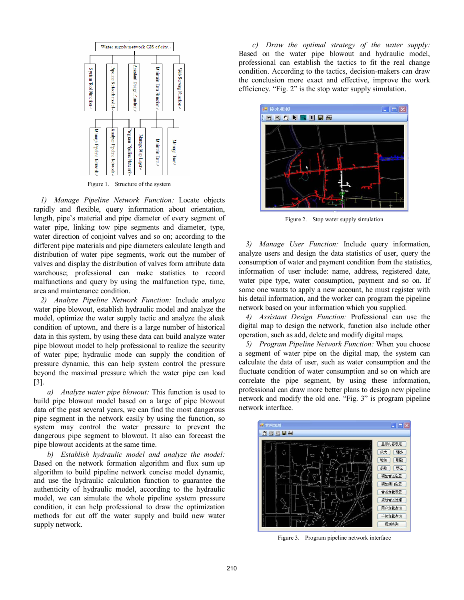

Figure 1. Structure of the system

*1) Manage Pipeline Network Function:* Locate objects rapidly and flexible, query information about orientation, length, pipe's material and pipe diameter of every segment of water pipe, linking tow pipe segments and diameter, type, water direction of conjoint valves and so on; according to the different pipe materials and pipe diameters calculate length and distribution of water pipe segments, work out the number of valves and display the distribution of valves form attribute data warehouse; professional can make statistics to record malfunctions and query by using the malfunction type, time, area and maintenance condition.

*2) Analyze Pipeline Network Function:* Include analyze water pipe blowout, establish hydraulic model and analyze the model, optimize the water supply tactic and analyze the aleak condition of uptown, and there is a large number of historical data in this system, by using these data can build analyze water pipe blowout model to help professional to realize the security of water pipe; hydraulic mode can supply the condition of pressure dynamic, this can help system control the pressure beyond the maximal pressure which the water pipe can load [3].

*a) Analyze water pipe blowout:* This function is used to build pipe blowout model based on a large of pipe blowout data of the past several years, we can find the most dangerous pipe segment in the network easily by using the function, so system may control the water pressure to prevent the dangerous pipe segment to blowout. It also can forecast the pipe blowout accidents at the same time.

*b) Establish hydraulic model and analyze the model:*  Based on the network formation algorithm and flux sum up algorithm to build pipeline network concise model dynamic, and use the hydraulic calculation function to guarantee the authenticity of hydraulic model, according to the hydraulic model, we can simulate the whole pipeline system pressure condition, it can help professional to draw the optimization methods for cut off the water supply and build new water supply network.

*c) Draw the optimal strategy of the water supply:*  Based on the water pipe blowout and hydraulic model, professional can establish the tactics to fit the real change condition. According to the tactics, decision-makers can draw the conclusion more exact and effective, improve the work efficiency. "Fig. 2" is the stop water supply simulation.



Figure 2. Stop water supply simulation

*3) Manage User Function:* Include query information, analyze users and design the data statistics of user, query the consumption of water and payment condition from the statistics, information of user include: name, address, registered date, water pipe type, water consumption, payment and so on. If some one wants to apply a new account, he must register with his detail information, and the worker can program the pipeline network based on your information which you supplied.

*4) Assistant Design Function:* Professional can use the digital map to design the network, function also include other operation, such as add, delete and modify digital maps.

*5) Program Pipeline Network Function:* When you choose a segment of water pipe on the digital map, the system can calculate the data of user, such as water consumption and the fluctuate condition of water consumption and so on which are correlate the pipe segment, by using these information, professional can draw more better plans to design new pipeline network and modify the old one. "Fig. 3" is program pipeline network interface.



Figure 3. Program pipeline network interface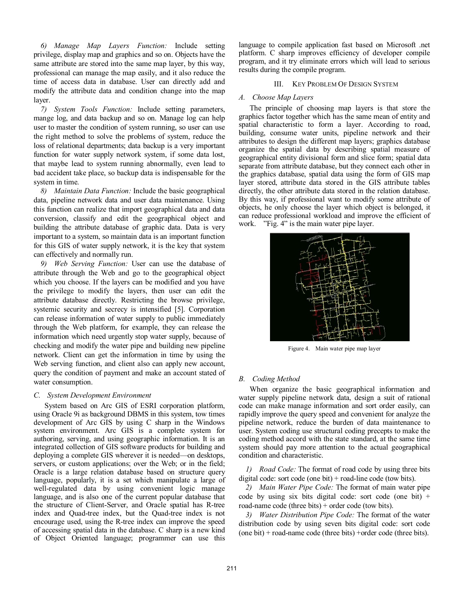*6) Manage Map Layers Function:* Include setting privilege, display map and graphics and so on. Objects have the same attribute are stored into the same map layer, by this way, professional can manage the map easily, and it also reduce the time of access data in database. User can directly add and modify the attribute data and condition change into the map layer.

*7) System Tools Function:* Include setting parameters, mange log, and data backup and so on. Manage log can help user to master the condition of system running, so user can use the right method to solve the problems of system, reduce the loss of relational departments; data backup is a very important function for water supply network system, if some data lost, that maybe lead to system running abnormally, even lead to bad accident take place, so backup data is indispensable for the system in time.

*8) Maintain Data Function:* Include the basic geographical data, pipeline network data and user data maintenance. Using this function can realize that import geographical data and data conversion, classify and edit the geographical object and building the attribute database of graphic data. Data is very important to a system, so maintain data is an important function for this GIS of water supply network, it is the key that system can effectively and normally run.

*9) Web Serving Function:* User can use the database of attribute through the Web and go to the geographical object which you choose. If the layers can be modified and you have the privilege to modify the layers, then user can edit the attribute database directly. Restricting the browse privilege, systemic security and secrecy is intensified [5]. Corporation can release information of water supply to public immediately through the Web platform, for example, they can release the information which need urgently stop water supply, because of checking and modify the water pipe and building new pipeline network. Client can get the information in time by using the Web serving function, and client also can apply new account, query the condition of payment and make an account stated of water consumption.

#### *C. System Development Environment*

System based on Arc GIS of ESRI corporation platform, using Oracle 9i as background DBMS in this system, tow times development of Arc GIS by using C sharp in the Windows system environment. Arc GIS is a complete system for authoring, serving, and using geographic information. It is an integrated collection of GIS software products for building and deploying a complete GIS wherever it is needed—on desktops, servers, or custom applications; over the Web; or in the field; Oracle is a large relation database based on structure query language, popularly, it is a set which manipulate a large of well-regulated data by using convenient logic manage language, and is also one of the current popular database that the structure of Client-Server, and Oracle spatial has R-tree index and Quad-tree index, but the Quad-tree index is not encourage used, using the R-tree index can improve the speed of accessing spatial data in the database. C sharp is a new kind of Object Oriented language; programmer can use this

language to compile application fast based on Microsoft .net platform. C sharp improves efficiency of developer compile program, and it try eliminate errors which will lead to serious results during the compile program.

## III. KEY PROBLEM OF DESIGN SYSTEM

#### *A. Choose Map Layers*

The principle of choosing map layers is that store the graphics factor together which has the same mean of entity and spatial characteristic to form a layer. According to road, building, consume water units, pipeline network and their attributes to design the different map layers; graphics database organize the spatial data by describing spatial measure of geographical entity divisional form and slice form; spatial data separate from attribute database, but they connect each other in the graphics database, spatial data using the form of GIS map layer stored, attribute data stored in the GIS attribute tables directly, the other attribute data stored in the relation database. By this way, if professional want to modify some attribute of objects, he only choose the layer which object is belonged, it can reduce professional workload and improve the efficient of work. "Fig. 4" is the main water pipe layer.

![](_page_2_Figure_10.jpeg)

Figure 4. Main water pipe map layer

# *B. Coding Method*

When organize the basic geographical information and water supply pipeline network data, design a suit of rational code can make manage information and sort order easily, can rapidly improve the query speed and convenient for analyze the pipeline network, reduce the burden of data maintenance to user. System coding use structural coding precepts to make the coding method accord with the state standard, at the same time system should pay more attention to the actual geographical condition and characteristic.

*1) Road Code:* The format of road code by using three bits digital code: sort code (one bit) + road-line code (tow bits).

*2) Main Water Pipe Code:* The format of main water pipe code by using six bits digital code: sort code (one bit) + road-name code (three bits) + order code (tow bits).

*3) Water Distribution Pipe Code:* The format of the water distribution code by using seven bits digital code: sort code (one bit) + road-name code (three bits) +order code (three bits).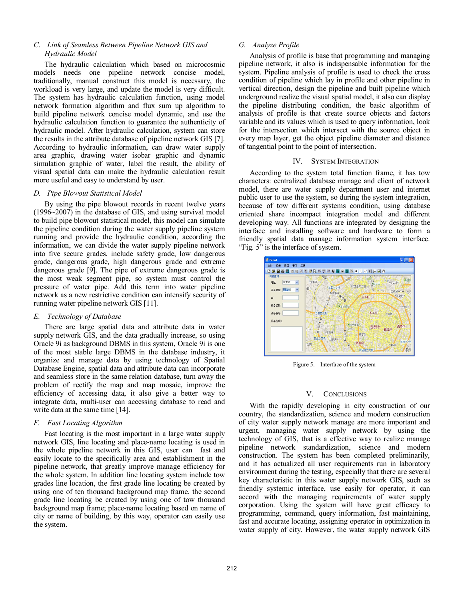# *C. Link of Seamless Between Pipeline Network GIS and Hydraulic Model*

The hydraulic calculation which based on microcosmic models needs one pipeline network concise model, traditionally, manual construct this model is necessary, the workload is very large, and update the model is very difficult. The system has hydraulic calculation function, using model network formation algorithm and flux sum up algorithm to build pipeline network concise model dynamic, and use the hydraulic calculation function to guarantee the authenticity of hydraulic model. After hydraulic calculation, system can store the results in the attribute database of pipeline network GIS [7]. According to hydraulic information, can draw water supply area graphic, drawing water isobar graphic and dynamic simulation graphic of water, label the result, the ability of visual spatial data can make the hydraulic calculation result more useful and easy to understand by user.

## *D. Pipe Blowout Statistical Model*

By using the pipe blowout records in recent twelve years (1996~2007) in the database of GIS, and using survival model to build pipe blowout statistical model, this model can simulate the pipeline condition during the water supply pipeline system running and provide the hydraulic condition, according the information, we can divide the water supply pipeline network into five secure grades, include safety grade, low dangerous grade, dangerous grade, high dangerous grade and extreme dangerous grade [9]. The pipe of extreme dangerous grade is the most weak segment pipe, so system must control the pressure of water pipe. Add this term into water pipeline network as a new restrictive condition can intensify security of running water pipeline network GIS [11].

# *E. Technology of Database*

There are large spatial data and attribute data in water supply network GIS, and the data gradually increase, so using Oracle 9i as background DBMS in this system, Oracle 9i is one of the most stable large DBMS in the database industry, it organize and manage data by using technology of Spatial Database Engine, spatial data and attribute data can incorporate and seamless store in the same relation database, turn away the problem of rectify the map and map mosaic, improve the efficiency of accessing data, it also give a better way to integrate data, multi-user can accessing database to read and write data at the same time [14].

# *F. Fast Locating Algorithm*

Fast locating is the most important in a large water supply network GIS, line locating and place-name locating is used in the whole pipeline network in this GIS, user can fast and easily locate to the specifically area and establishment in the pipeline network, that greatly improve manage efficiency for the whole system. In addition line locating system include tow grades line location, the first grade line locating be created by using one of ten thousand background map frame, the second grade line locating be created by using one of tow thousand background map frame; place-name locating based on name of city or name of building, by this way, operator can easily use the system.

## *G. Analyze Profile*

Analysis of profile is base that programming and managing pipeline network, it also is indispensable information for the system. Pipeline analysis of profile is used to check the cross condition of pipeline which lay in profile and other pipeline in vertical direction, design the pipeline and built pipeline which underground realize the visual spatial model, it also can display the pipeline distributing condition, the basic algorithm of analysis of profile is that create source objects and factors variable and its values which is used to query information, look for the intersection which intersect with the source object in every map layer, get the object pipeline diameter and distance of tangential point to the point of intersection.

## IV. SYSTEM INTEGRATION

According to the system total function frame, it has tow characters: centralized database manage and client of network model, there are water supply department user and internet public user to use the system, so during the system integration, because of tow different systems condition, using database oriented share incompact integration model and different developing way. All functions are integrated by designing the interface and installing software and hardware to form a friendly spatial data manage information system interface. "Fig. 5" is the interface of system.

![](_page_3_Figure_12.jpeg)

Figure 5. Interface of the system

# V. CONCLUSIONS

With the rapidly developing in city construction of our country, the standardization, science and modern construction of city water supply network manage are more important and urgent, managing water supply network by using the technology of GIS, that is a effective way to realize manage pipeline network standardization, science and modern construction. The system has been completed preliminarily, and it has actualized all user requirements run in laboratory environment during the testing, especially that there are several key characteristic in this water supply network GIS, such as friendly systemic interface, use easily for operator, it can accord with the managing requirements of water supply corporation. Using the system will have great efficacy to programming, command, query information, fast maintaining, fast and accurate locating, assigning operator in optimization in water supply of city. However, the water supply network GIS